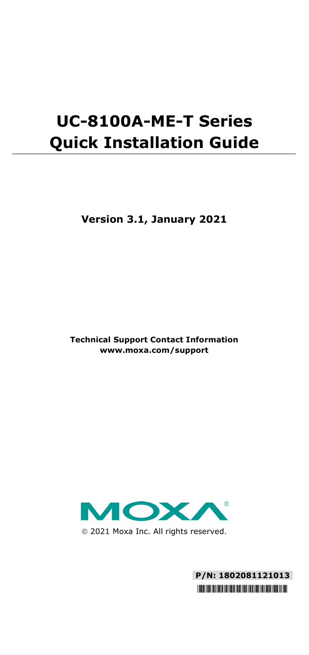# **UC-8100A-ME-T Series Quick Installation Guide**

**Version 3.1, January 2021**

**Technical Support Contact Information www.moxa.com/support**



2021 Moxa Inc. All rights reserved.

**P/N: 1802081121013** \*1802081121013\*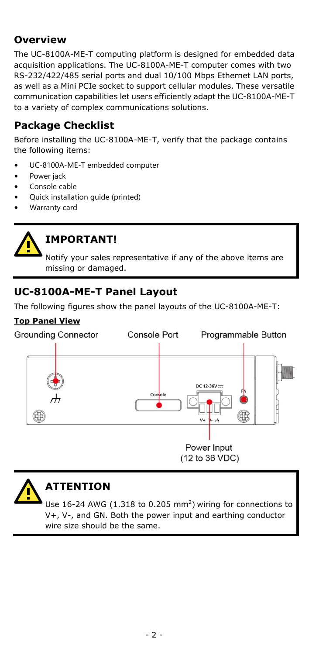## **Overview**

The UC-8100A-ME-T computing platform is designed for embedded data acquisition applications. The UC-8100A-ME-T computer comes with two RS-232/422/485 serial ports and dual 10/100 Mbps Ethernet LAN ports, as well as a Mini PCIe socket to support cellular modules. These versatile communication capabilities let users efficiently adapt the UC-8100A-ME-T to a variety of complex communications solutions.

# **Package Checklist**

Before installing the UC-8100A-ME-T, verify that the package contains the following items:

- UC-8100A-ME-T embedded computer
- Power jack
- Console cable
- Quick installation guide (printed)
- Warranty card



# **IMPORTANT!**

Notify your sales representative if any of the above items are missing or damaged.

# **UC-8100A-ME-T Panel Layout**

The following figures show the panel layouts of the UC-8100A-ME-T:

#### **Top Panel View**





# **ATTENTION**

Use  $16-24$  AWG (1.318 to 0.205 mm<sup>2</sup>) wiring for connections to V+, V-, and GN. Both the power input and earthing conductor wire size should be the same.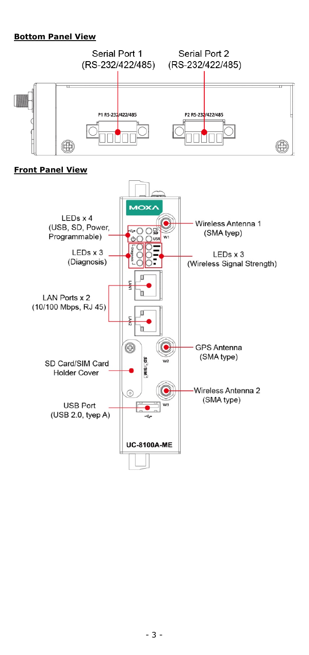#### **Bottom Panel View**



#### **Front Panel View**

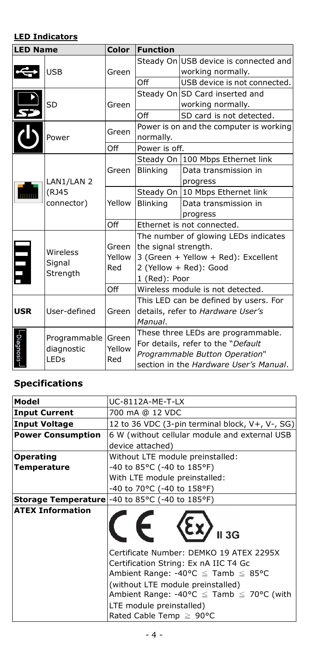### **LED Indicators**

| <b>LED Name</b> |                                   | Color         | <b>Function</b>                        |                                         |  |
|-----------------|-----------------------------------|---------------|----------------------------------------|-----------------------------------------|--|
|                 |                                   |               |                                        | Steady On USB device is connected and   |  |
|                 | <b>USB</b>                        | Green         |                                        | working normally.                       |  |
|                 |                                   |               | Off                                    | USB device is not connected.            |  |
|                 |                                   |               |                                        | Steady On SD Card inserted and          |  |
|                 | SD                                | Green         |                                        | working normally.                       |  |
|                 |                                   |               | Off                                    | SD card is not detected.                |  |
|                 |                                   |               |                                        | Power is on and the computer is working |  |
|                 | Power                             | Green         | normally.                              |                                         |  |
|                 |                                   | Off           | Power is off.                          |                                         |  |
|                 |                                   |               |                                        | Steady On 100 Mbps Ethernet link        |  |
|                 |                                   | Green         | <b>Blinking</b>                        | Data transmission in                    |  |
|                 | LAN1/LAN 2<br>(RJ45<br>connector) |               |                                        | progress                                |  |
|                 |                                   | Yellow        |                                        | Steady On 10 Mbps Ethernet link         |  |
|                 |                                   |               | <b>Blinking</b>                        | Data transmission in                    |  |
|                 |                                   |               |                                        | progress                                |  |
|                 |                                   | Off           | Ethernet is not connected.             |                                         |  |
|                 |                                   |               | The number of glowing LEDs indicates   |                                         |  |
|                 | Wireless<br>Signal<br>Strength    | Green         | the signal strength.                   |                                         |  |
| Ę               |                                   | Yellow<br>Red | 3 (Green + Yellow + Red): Excellent    |                                         |  |
|                 |                                   |               | 2 (Yellow + Red): Good                 |                                         |  |
|                 |                                   |               | 1 (Red): Poor                          |                                         |  |
|                 |                                   | Off           |                                        | Wireless module is not detected.        |  |
|                 | User-defined                      | Green         | This LED can be defined by users. For  |                                         |  |
| <b>USR</b>      |                                   |               | details, refer to Hardware User's      |                                         |  |
|                 |                                   |               | Manual.                                |                                         |  |
|                 | Programmable                      | Green         | These three LEDs are programmable.     |                                         |  |
| -Diagnosis-     | diagnostic<br>LEDs                | Yellow<br>Red | For details, refer to the "Default     |                                         |  |
|                 |                                   |               | Programmable Button Operation"         |                                         |  |
|                 |                                   |               | section in the Hardware User's Manual. |                                         |  |

### **Specifications**

| Model                    | UC-8112A-ME-T-LX                                                                                                                                                                                                                                                                                |  |  |  |
|--------------------------|-------------------------------------------------------------------------------------------------------------------------------------------------------------------------------------------------------------------------------------------------------------------------------------------------|--|--|--|
| <b>Input Current</b>     | 700 mA @ 12 VDC                                                                                                                                                                                                                                                                                 |  |  |  |
| <b>Input Voltage</b>     | 12 to 36 VDC (3-pin terminal block, V+, V-, SG)                                                                                                                                                                                                                                                 |  |  |  |
| <b>Power Consumption</b> | 6 W (without cellular module and external USB                                                                                                                                                                                                                                                   |  |  |  |
|                          | device attached)                                                                                                                                                                                                                                                                                |  |  |  |
| <b>Operating</b>         | Without LTE module preinstalled:                                                                                                                                                                                                                                                                |  |  |  |
| <b>Temperature</b>       | -40 to 85°C (-40 to 185°F)                                                                                                                                                                                                                                                                      |  |  |  |
|                          | With LTE module preinstalled:                                                                                                                                                                                                                                                                   |  |  |  |
|                          | -40 to 70°C (-40 to 158°F)                                                                                                                                                                                                                                                                      |  |  |  |
|                          | <b>Storage Temperature</b> -40 to 85°C (-40 to 185°F)                                                                                                                                                                                                                                           |  |  |  |
| <b>ATEX Information</b>  | $\sum$ II 3G                                                                                                                                                                                                                                                                                    |  |  |  |
|                          | Certificate Number: DEMKO 19 ATEX 2295X<br>Certification String: Ex nA IIC T4 Gc<br>Ambient Range: -40°C $\leq$ Tamb $\leq$ 85°C<br>(without LTE module preinstalled)<br>Ambient Range: -40°C $\leq$ Tamb $\leq$ 70°C (with<br>LTE module preinstalled)<br>Rated Cable Temp $\geq 90^{\circ}$ C |  |  |  |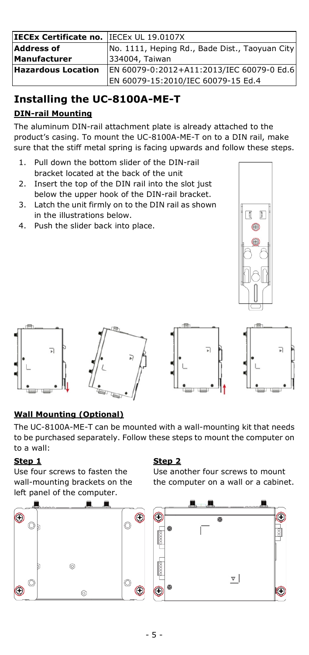| IECEx Certificate no. IECEx UL 19.0107X |                                                |  |  |  |
|-----------------------------------------|------------------------------------------------|--|--|--|
| <b>Address of</b>                       | No. 1111, Heping Rd., Bade Dist., Taoyuan City |  |  |  |
| Manufacturer                            | 334004, Taiwan                                 |  |  |  |
| Hazardous Location                      | EN 60079-0:2012+A11:2013/IEC 60079-0 Ed.6      |  |  |  |
|                                         | EN 60079-15:2010/IEC 60079-15 Ed.4             |  |  |  |

# **Installing the UC-8100A-ME-T DIN-rail Mounting**

The aluminum DIN-rail attachment plate is already attached to the product's casing. To mount the UC-8100A-ME-T on to a DIN rail, make sure that the stiff metal spring is facing upwards and follow these steps.

- 1. Pull down the bottom slider of the DIN-rail bracket located at the back of the unit
- 2. Insert the top of the DIN rail into the slot just below the upper hook of the DIN-rail bracket.
- 3. Latch the unit firmly on to the DIN rail as shown in the illustrations below.
- 4. Push the slider back into place.





### **Wall Mounting (Optional)**

The UC-8100A-ME-T can be mounted with a wall-mounting kit that needs to be purchased separately. Follow these steps to mount the computer on to a wall:

### **Step 1**

Use four screws to fasten the wall-mounting brackets on the left panel of the computer.



### **Step 2**

Use another four screws to mount the computer on a wall or a cabinet.

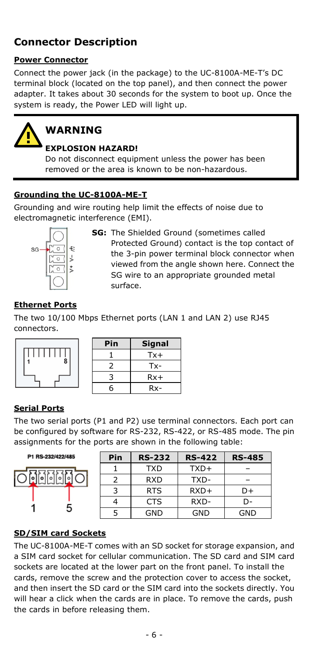# **Connector Description**

### **Power Connector**

Connect the power jack (in the package) to the UC-8100A-ME-T's DC terminal block (located on the top panel), and then connect the power adapter. It takes about 30 seconds for the system to boot up. Once the system is ready, the Power LED will light up.



# **WARNING**

### **EXPLOSION HAZARD!**

Do not disconnect equipment unless the power has been removed or the area is known to be non-hazardous.

### **Grounding the UC-8100A-ME-T**

Grounding and wire routing help limit the effects of noise due to electromagnetic interference (EMI).



**SG:** The Shielded Ground (sometimes called Protected Ground) contact is the top contact of the 3-pin power terminal block connector when viewed from the angle shown here. Connect the SG wire to an appropriate grounded metal surface.

### **Ethernet Ports**

The two 10/100 Mbps Ethernet ports (LAN 1 and LAN 2) use RJ45 connectors.

| 1 |  |  |  | $\dot{8}$ |  |
|---|--|--|--|-----------|--|
|   |  |  |  |           |  |

| Pin | <b>Signal</b> |
|-----|---------------|
|     | $Tx +$        |
|     | Tx-           |
| っ   | $Rx+$         |
| հ   | $Rx-$         |

### **Serial Ports**

The two serial ports (P1 and P2) use terminal connectors. Each port can be configured by software for RS-232, RS-422, or RS-485 mode. The pin assignments for the ports are shown in the following table:

P1 RS-232/422/485 **Mark** 1

| Pin | <b>RS-232</b> | <b>RS-422</b> | <b>RS-485</b> |
|-----|---------------|---------------|---------------|
|     | <b>TXD</b>    | TXD+          |               |
| 2   | <b>RXD</b>    | TXD-          |               |
| κ   | <b>RTS</b>    | $RXD+$        | D+            |
|     | <b>CTS</b>    | RXD-          | D-            |
| 5   | GND           | GND           | GND           |

### **SD/SIM card Sockets**

The UC-8100A-ME-T comes with an SD socket for storage expansion, and a SIM card socket for cellular communication. The SD card and SIM card sockets are located at the lower part on the front panel. To install the cards, remove the screw and the protection cover to access the socket, and then insert the SD card or the SIM card into the sockets directly. You will hear a click when the cards are in place. To remove the cards, push the cards in before releasing them.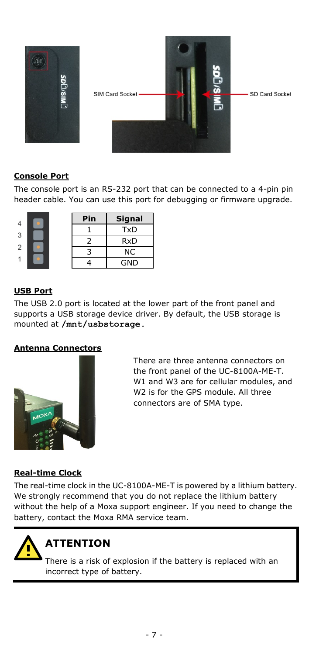

### **Console Port**

The console port is an RS-232 port that can be connected to a 4-pin pin header cable. You can use this port for debugging or firmware upgrade.

| 4 |  | Pin | Signal     |
|---|--|-----|------------|
| 3 |  |     | <b>TxD</b> |
|   |  | 2   | <b>RxD</b> |
| 2 |  | 3   | ΝC         |
|   |  |     | <b>GND</b> |

### **USB Port**

The USB 2.0 port is located at the lower part of the front panel and supports a USB storage device driver. By default, the USB storage is mounted at **/mnt/usbstorage.**

### **Antenna Connectors**



There are three antenna connectors on the front panel of the UC-8100A-ME-T. W1 and W3 are for cellular modules, and W2 is for the GPS module. All three connectors are of SMA type.

#### **Real-time Clock**

The real-time clock in the UC-8100A-ME-T is powered by a lithium battery. We strongly recommend that you do not replace the lithium battery without the help of a Moxa support engineer. If you need to change the battery, contact the Moxa RMA service team.



# **ATTENTION**

There is a risk of explosion if the battery is replaced with an incorrect type of battery.